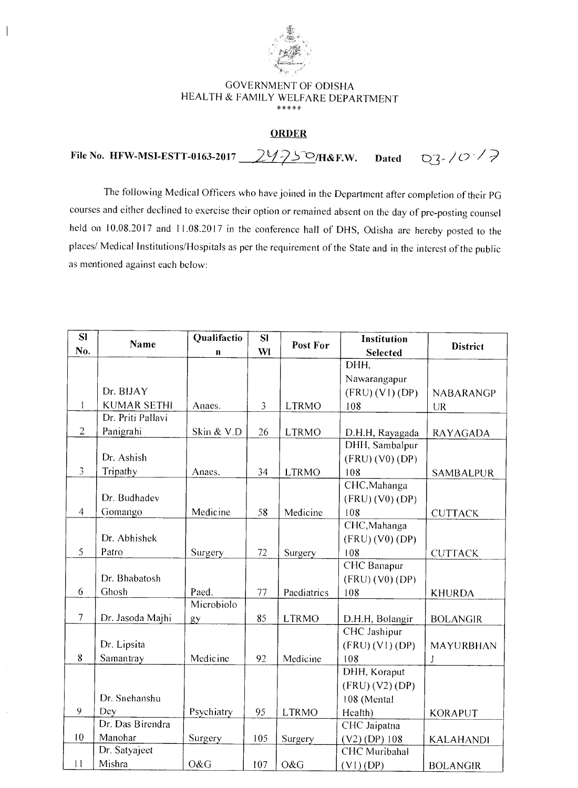

 $\overline{\phantom{a}}$ 

## GOVERNMENT OF OD1SHA HEALTH & FAMILY WELFARE DEPARTMENT \*\*\*\*\*

## **ORDER**

File No. HFW-MSI-ESTT-0163-2017 29750/H&F.W. Dated Q3-1013

The following Medical Officers who have joined in the Department after completion of their PG courses and either declined to exercise their option or remained absent on the day of pre-posting counsel held on 10.08.2017 and 11.08.2017 in the conference hall of DHS, Odisha are hereby posted to the places/ Medical Institutions/Hospitals as per the requirement of the State and in the interest of the public as mentioned against each below:

| SI             | <b>Name</b>        | Qualifactio  | SI             |              | Institution     |                  |
|----------------|--------------------|--------------|----------------|--------------|-----------------|------------------|
| No.            |                    | $\mathbf{n}$ | WI             | Post For     | <b>Selected</b> | <b>District</b>  |
|                |                    |              |                |              | DHH,            |                  |
|                |                    |              |                |              | Nawarangapur    |                  |
|                | Dr. BIJAY          |              |                |              | (FRU) (VI) (DP) | <b>NABARANGP</b> |
| $\mathbf{I}$   | <b>KUMAR SETHI</b> | Anaes.       | $\mathfrak{Z}$ | <b>LTRMO</b> | 108             | <b>UR</b>        |
|                | Dr. Priti Pallavi  |              |                |              |                 |                  |
| $\overline{2}$ | Panigrahi          | Skin & V.D   | 26             | <b>LTRMO</b> | D.H.H, Rayagada | <b>RAYAGADA</b>  |
|                |                    |              |                |              | DHH, Sambalpur  |                  |
|                | Dr. Ashish         |              |                |              | (FRU) (V0) (DP) |                  |
| $\overline{3}$ | Tripathy           | Anaes.       | 34             | <b>LTRMO</b> | 108             | <b>SAMBALPUR</b> |
|                |                    |              |                |              | CHC, Mahanga    |                  |
|                | Dr. Budhadev       |              |                |              | (FRU) (V0) (DP) |                  |
| $\overline{4}$ | Gomango            | Medicine     | 58             | Medicine     | 108             | <b>CUTTACK</b>   |
|                |                    |              |                |              | CHC, Mahanga    |                  |
|                | Dr. Abhishek       |              |                |              | (FRU) (V0) (DP) |                  |
| 5              | Patro              | Surgery      | 72             | Surgery      | 108             | <b>CUTTACK</b>   |
|                |                    |              |                |              | CHC Banapur     |                  |
|                | Dr. Bhabatosh      |              |                |              | (FRU) (V0) (DP) |                  |
| 6              | Ghosh              | Paed.        | 77             | Paediatrics  | 108             | <b>KHURDA</b>    |
|                |                    | Microbiolo   |                |              |                 |                  |
| $\overline{7}$ | Dr. Jasoda Majhi   | gy           | 85             | <b>LTRMO</b> | D.H.H, Bolangir | <b>BOLANGIR</b>  |
|                |                    |              |                |              | CHC Jashipur    |                  |
|                | Dr. Lipsita        |              |                |              | (FRU) (VI) (DP) | MAYURBHAN        |
| 8              | Samantray          | Medicine     | 92             | Medicine     | 108             | J                |
|                |                    |              |                |              | DHH, Koraput    |                  |
|                |                    |              |                |              | (FRU) (V2) (DP) |                  |
|                | Dr. Snehanshu      |              |                |              | 108 (Mental     |                  |
| 9              | Dey                | Psychiatry   | 95             | <b>LTRMO</b> | Health)         | <b>KORAPUT</b>   |
|                | Dr. Das Birendra   |              |                |              | CHC Jaipatna    |                  |
| 10             | Manohar            | Surgery      | 105            | Surgery      | (V2) (DP) 108   | <b>KALAHANDI</b> |
|                | Dr. Satyajeet      |              |                |              | CHC Muribahal   |                  |
| 11             | Mishra             | O&G          | 107            | O&G          | $(V1)$ (DP)     | <b>BOLANGIR</b>  |